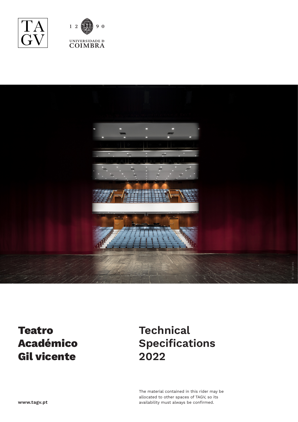





## **Teatro Académico Gil vicente**

# **Technical Specifications 2022**

The material contained in this rider may be allocated to other spaces of TAGV, so its availability must always be confirmed.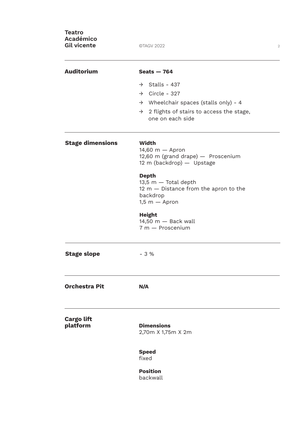| <b>Teatro</b><br><b>Académico</b><br><b>Gil vicente</b> | ©TAGV 2022                                                                                                                                                                                                                                                                            | 2 |
|---------------------------------------------------------|---------------------------------------------------------------------------------------------------------------------------------------------------------------------------------------------------------------------------------------------------------------------------------------|---|
| <b>Auditorium</b>                                       | Seats $-764$<br>$\rightarrow$ Stalls - 437<br>$\rightarrow$ Circle - 327<br>$\rightarrow$ Wheelchair spaces (stalls only) - 4<br>$\rightarrow$ 2 flights of stairs to access the stage,<br>one on each side                                                                           |   |
| <b>Stage dimensions</b>                                 | Width<br>$14,60$ m $-$ Apron<br>12,60 m (grand drape) - Proscenium<br>12 m (backdrop) - Upstage<br><b>Depth</b><br>$13,5$ m $-$ Total depth<br>$12 m - Distance from the apron to the$<br>backdrop<br>$1,5 m -$ Apron<br><b>Height</b><br>$14,50$ m $-$ Back wall<br>7 m - Proscenium |   |
| <b>Stage slope</b>                                      | $-3%$                                                                                                                                                                                                                                                                                 |   |
| <b>Orchestra Pit</b>                                    | N/A                                                                                                                                                                                                                                                                                   |   |
| <b>Cargo lift</b><br>platform                           | <b>Dimensions</b><br>2,70m X 1,75m X 2m<br><b>Speed</b><br>fixed<br><b>Position</b><br>backwall                                                                                                                                                                                       |   |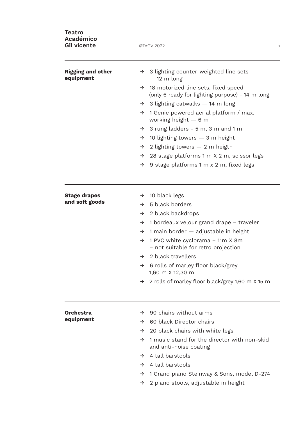| <b>Teatro</b><br><b>Académico</b><br><b>Gil vicente</b> | ©TAGV 2022                                                                                              |  |
|---------------------------------------------------------|---------------------------------------------------------------------------------------------------------|--|
| <b>Rigging and other</b><br>equipment                   | $\rightarrow$ 3 lighting counter-weighted line sets<br>$-12$ m long                                     |  |
|                                                         | 18 motorized line sets, fixed speed<br>$\rightarrow$<br>(only 6 ready for lighting purpose) - 14 m long |  |
|                                                         | 3 lighting catwalks - 14 m long<br>$\rightarrow$                                                        |  |
|                                                         | 1 Genie powered aerial platform / max.<br>$\rightarrow$<br>working height $-6$ m                        |  |
|                                                         | 3 rung ladders - 5 m, 3 m and 1 m<br>$\rightarrow$                                                      |  |
|                                                         | 10 lighting towers $-$ 3 m height<br>$\rightarrow$                                                      |  |
|                                                         | 2 lighting towers $-2$ m heigth<br>$\rightarrow$                                                        |  |
|                                                         | 28 stage platforms 1 m X 2 m, scissor legs<br>$\rightarrow$                                             |  |
|                                                         | 9 stage platforms 1 m x 2 m, fixed legs<br>$\rightarrow$                                                |  |
| <b>Stage drapes</b>                                     | $\rightarrow$ 10 black legs                                                                             |  |
| and soft goods                                          | 5 black borders<br>$\rightarrow$                                                                        |  |
|                                                         | 2 black backdrops<br>$\rightarrow$                                                                      |  |
|                                                         | 1 bordeaux velour grand drape – traveler<br>$\rightarrow$                                               |  |
|                                                         | 1 main border - adjustable in height<br>$\rightarrow$                                                   |  |
|                                                         | 1 PVC white cyclorama – 11m X 8m<br>$\rightarrow$<br>- not suitable for retro projection                |  |
|                                                         | 2 black travellers<br>$\rightarrow$                                                                     |  |
|                                                         | 6 rolls of marley floor black/grey<br>$\rightarrow$<br>1,60 m X 12,30 m                                 |  |
|                                                         | 2 rolls of marley floor black/grey 1,60 m X 15 m<br>$\rightarrow$                                       |  |
| <b>Orchestra</b><br>equipment                           | $\rightarrow$ 90 chairs without arms                                                                    |  |
|                                                         | 60 black Director chairs<br>$\rightarrow$                                                               |  |
|                                                         | 20 black chairs with white legs<br>$\rightarrow$                                                        |  |
|                                                         | 1 music stand for the director with non-skid<br>$\rightarrow$<br>and anti-noise coating                 |  |
|                                                         | 4 tall barstools<br>$\rightarrow$                                                                       |  |
|                                                         | 4 tall barstools<br>$\rightarrow$                                                                       |  |
|                                                         | 1 Grand piano Steinway & Sons, model D-274<br>$\rightarrow$                                             |  |
|                                                         | 2 piano stools, adjustable in height<br>$\rightarrow$                                                   |  |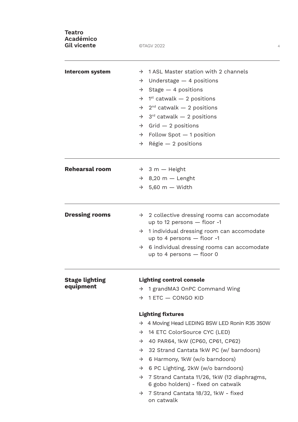| <b>Teatro</b><br><b>Académico</b><br><b>Gil vicente</b> | ©TAGV 2022<br>$\overline{4}$                                                                                                                                                          |  |  |
|---------------------------------------------------------|---------------------------------------------------------------------------------------------------------------------------------------------------------------------------------------|--|--|
| <b>Intercom system</b>                                  | $\rightarrow$ 1 ASL Master station with 2 channels                                                                                                                                    |  |  |
|                                                         | $\rightarrow$ Understage - 4 positions                                                                                                                                                |  |  |
|                                                         | Stage $-4$ positions<br>$\rightarrow$                                                                                                                                                 |  |  |
|                                                         | $1st$ catwalk $-2$ positions<br>$\rightarrow$                                                                                                                                         |  |  |
|                                                         | $2^{nd}$ catwalk $-2$ positions<br>$\rightarrow$                                                                                                                                      |  |  |
|                                                         | $3^{rd}$ catwalk $-2$ positions<br>$\rightarrow$                                                                                                                                      |  |  |
|                                                         | $Grid - 2 positions$<br>$\rightarrow$                                                                                                                                                 |  |  |
|                                                         | $\rightarrow$ Follow Spot $-$ 1 position                                                                                                                                              |  |  |
|                                                         | Régie - 2 positions<br>$\rightarrow$                                                                                                                                                  |  |  |
| <b>Rehearsal room</b>                                   | $\rightarrow$ 3 m - Height                                                                                                                                                            |  |  |
|                                                         | $\rightarrow$ 8,20 m - Lenght                                                                                                                                                         |  |  |
|                                                         | $\rightarrow$ 5,60 m - Width                                                                                                                                                          |  |  |
| <b>Dressing rooms</b>                                   | 2 collective dressing rooms can accomodate<br>$\rightarrow$<br>up to 12 persons $-$ floor -1<br>$\rightarrow$ 1 individual dressing room can accomodate<br>up to 4 persons - floor -1 |  |  |
|                                                         | 6 individual dressing rooms can accomodate<br>$\rightarrow$<br>up to 4 persons $-$ floor 0                                                                                            |  |  |
| <b>Stage lighting</b>                                   | <b>Lighting control console</b>                                                                                                                                                       |  |  |
| equipment                                               | 1 grandMA3 OnPC Command Wing<br>$\rightarrow$                                                                                                                                         |  |  |
|                                                         | $\rightarrow$ 1 ETC $-$ CONGO KID                                                                                                                                                     |  |  |
|                                                         | <b>Lighting fixtures</b>                                                                                                                                                              |  |  |
|                                                         | $\rightarrow$ 4 Moving Head LEDING BSW LED Ronin R35 350W                                                                                                                             |  |  |
|                                                         | → 14 ETC ColorSource CYC (LED)                                                                                                                                                        |  |  |
|                                                         | 40 PAR64, 1kW (CP60, CP61, CP62)<br>$\rightarrow$                                                                                                                                     |  |  |
|                                                         | 32 Strand Cantata 1kW PC (w/ barndoors)<br>$\rightarrow$                                                                                                                              |  |  |
|                                                         | 6 Harmony, 1kW (w/o barndoors)<br>$\rightarrow$                                                                                                                                       |  |  |
|                                                         | 6 PC Lighting, 2kW (w/o barndoors)<br>$\rightarrow$                                                                                                                                   |  |  |
|                                                         | $\rightarrow$ 7 Strand Cantata 11/26, 1kW (12 diaphragms,<br>6 gobo holders) - fixed on catwalk                                                                                       |  |  |
|                                                         | $\rightarrow$ 7 Strand Cantata 18/32, 1kW - fixed<br>on catwalk                                                                                                                       |  |  |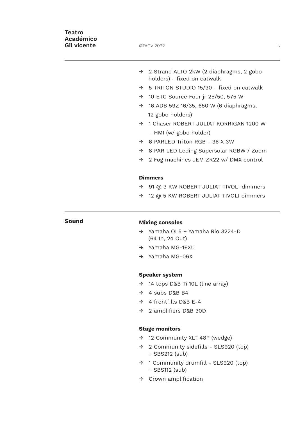### **Teatro Académico Gil vicente CIAGV 2022** 5

- → 2 Strand ALTO 2kW (2 diaphragms, 2 gobo holders) - fixed on catwalk
- $\rightarrow$  5 TRITON STUDIO 15/30 fixed on catwalk
- $\rightarrow$  10 ETC Source Four jr 25/50, 575 W
- $\rightarrow$  16 ADB 59Z 16/35, 650 W (6 diaphragms, 12 gobo holders)
- → 1 Chaser ROBERT JULIAT KORRIGAN 1200 W – HMI (w/ gobo holder)
- $\rightarrow$  6 PARLED Triton RGB 36 X 3W
- → 8 PAR LED Leding Supersolar RGBW / Zoom
- → 2 Fog machines JEM ZR22 w/ DMX control

#### **Dimmers**

- → 91 @ 3 KW ROBERT JULIAT TIVOLI dimmers
- → 12 @ 5 KW ROBERT JULIAT TIVOLI dimmers

### **Sound Mixing consoles**

- → Yamaha QL5 + Yamaha Rio 3224-D (64 In, 24 Out)
- → Yamaha MG-16XU
- → Yamaha MG-06X

#### **Speaker system**

- → 14 tops D&B Ti 10L (line array)
- $\rightarrow$  4 subs D&B B4
- $\rightarrow$  4 frontfills D&B E-4
- → 2 amplifiers D&B 30D

#### **Stage monitors**

- → 12 Community XLT 48P (wedge)
- → 2 Community sidefills SLS920 (top) + SBS212 (sub)
- $\rightarrow$  1 Community drumfill SLS920 (top) + SBS112 (sub)
- $\rightarrow$  Crown amplification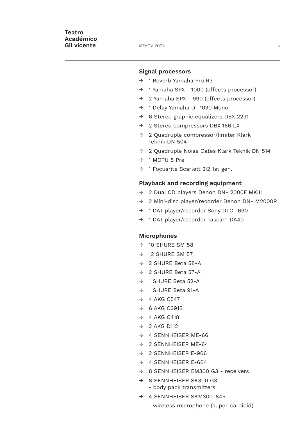#### **Signal processors**

- $\rightarrow$  1 Reverb Yamaha Pro R3
- → 1 Yamaha SPX 1000 (effects processor)
- → 2 Yamaha SPX 990 (effects processor)
- → 1 Delay Yamaha D -1030 Mono
- → 6 Stereo graphic equalizers DBX 2231
- → 2 Stereo compressors DBX 166 LX
- → 2 Quadruple compressor/limiter Klark Teknik DN 504
- → 2 Quadruple Noise Gates Klark Teknik DN 514
- → 1 MOTU 8 Pre
- → 1 Focusrite Scarlett 2i2 1st gen.

#### **Playback and recording equipment**

- → 2 Dual CD players Denon DN- 2000F MKIII
- → 2 Mini-disc player/recorder Denon DN- M2000R
- → 1 DAT player/recorder Sony DTC- 690
- → 1 DAT player/recorder Tascam DA40

#### **Microphones**

- $\rightarrow$  10 SHURF SM 58
- $\rightarrow$  12 SHURE SM 57
- → 2 SHURE Beta 58-A
- → 2 SHURE Beta 57-A
- → 1 SHURE Beta 52-A
- → 1 SHURE Beta 91-A
- $\rightarrow$  4 AKG C547
- $\rightarrow$  6 AKG C391B
- $\rightarrow$  4 AKG C418
- $\rightarrow$  2 AKG D112
- $\rightarrow$  4 SENNHEISER ME-66
- $\rightarrow$  2 SENNHEISER ME-64
- → 2 SENNHEISER E-906
- $\rightarrow$  4 SENNHEISER E-604
- → 8 SENNHEISER EM300 G3 receivers
- $\rightarrow$  8 SENNHEISER SK300 G3
	- body pack transmitters
- → 4 SENNHEISER SKM300-845
	- wireless microphone (super-cardioid)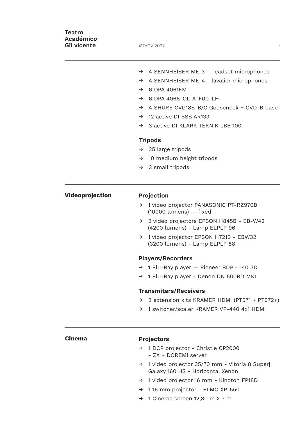| Teatro<br><b>Académico</b><br><b>Gil vicente</b> | ©TAGV 2022<br>$\overline{\mathcal{I}}$                                                            |
|--------------------------------------------------|---------------------------------------------------------------------------------------------------|
|                                                  | $\rightarrow$ 4 SENNHEISER ME-3 - headset microphones                                             |
|                                                  | 4 SENNHEISER ME-4 - lavalier microphones<br>$\rightarrow$                                         |
|                                                  | 6 DPA 4061FM<br>$\rightarrow$                                                                     |
|                                                  | 6 DPA 4066-OL-A-F00-LH<br>$\rightarrow$                                                           |
|                                                  | 4 SHURE CVG18S-B/C Gooseneck + CVD-B base<br>$\rightarrow$                                        |
|                                                  | 12 active DI BSS AR133<br>$\rightarrow$                                                           |
|                                                  | 3 active DI KLARK TEKNIK LBB 100<br>$\rightarrow$                                                 |
|                                                  | <b>Tripods</b>                                                                                    |
|                                                  | $\rightarrow$ 25 large tripods                                                                    |
|                                                  | $\rightarrow$ 10 medium height tripods                                                            |
|                                                  | 3 small tripods<br>$\rightarrow$                                                                  |
| Videoprojection                                  | Projection                                                                                        |
|                                                  | 1 video projector PANASONIC PT-RZ970B<br>$\rightarrow$<br>$(10000$ lumens) $-$ fixed              |
|                                                  | 2 video projectors EPSON H845B - EB-W42<br>$\rightarrow$<br>(4200 lumens) - Lamp ELPLP 96         |
|                                                  | 1 video projector EPSON H721B - EBW32<br>$\rightarrow$<br>(3200 lumens) - Lamp ELPLP 88           |
|                                                  | <b>Players/Recorders</b>                                                                          |
|                                                  | → 1 Blu-Ray player – Pioneer BDP - 140 3D                                                         |
|                                                  | 1 Blu-Ray player - Denon DN 500BD MKI<br>$\rightarrow$                                            |
|                                                  | <b>Transmiters/Receivers</b>                                                                      |
|                                                  | 2 extension kits KRAMER HDMI (PT571 + PT572+)<br>$\rightarrow$                                    |
|                                                  | 1 switcher/scaler KRAMER VP-440 4x1 HDMI<br>$\rightarrow$                                         |
| <b>Cinema</b>                                    | <b>Projectors</b>                                                                                 |
|                                                  | → 1 DCP projector - Christie CP2000<br>- ZX + DOREMI server                                       |
|                                                  | 1 video projector 35/70 mm - Vitoria 8 Super<br>$\rightarrow$<br>Galaxy 160 HS - Horizontal Xenon |
|                                                  | 1 video projector 16 mm - Kinoton FP18D<br>$\rightarrow$                                          |

- → 1 16 mm projector ELMO XP-550
- → 1 Cinema screen 12,80 m X 7 m